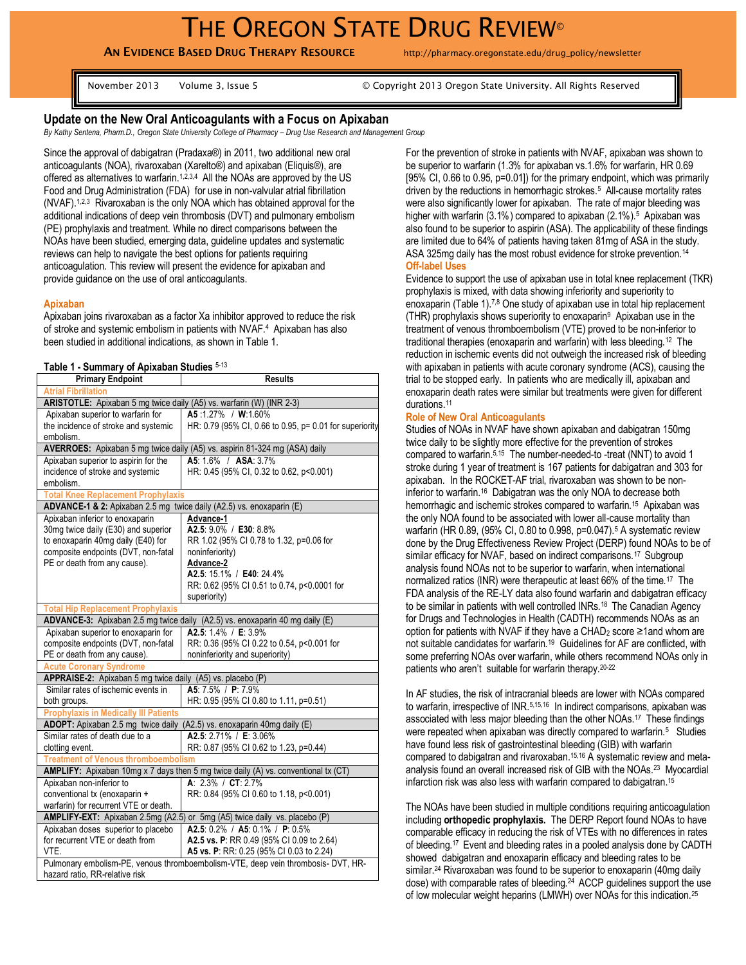**AN EVIDENCE BASED DRUG THERAPY RESOURCE** http://pharmacy.oregonstate.edu/drug\_policy/newsletter

November 2013 Volume 3, Issue 5 © Copyright 2013 Oregon State University. All Rights Reserved

## **Update on the New Oral Anticoagulants with a Focus on Apixaban**

*By Kathy Sentena, Pharm.D., Oregon State University College of Pharmacy – Drug Use Research and Management Group*

Since the approval of dabigatran (Pradaxa®) in 2011, two additional new oral anticoagulants (NOA), rivaroxaban (Xarelto®) and apixaban (Eliquis®), are offered as alternatives to warfarin.<sup>1,2,3,4</sup> All the NOAs are approved by the US Food and Drug Administration (FDA) for use in non-valvular atrial fibrillation (NVAF).1,2,3 Rivaroxaban is the only NOA which has obtained approval for the additional indications of deep vein thrombosis (DVT) and pulmonary embolism (PE) prophylaxis and treatment. While no direct comparisons between the NOAs have been studied, emerging data, guideline updates and systematic reviews can help to navigate the best options for patients requiring anticoagulation. This review will present the evidence for apixaban and provide guidance on the use of oral anticoagulants.

#### **Apixaban**

Apixaban joins rivaroxaban as a factor Xa inhibitor approved to reduce the risk of stroke and systemic embolism in patients with NVAF. 4 Apixaban has also been studied in additional indications, as shown in Table 1.

#### **Table 1 - Summary of Apixaban Studies** 5-13

| <b>Primary Endpoint</b>                                                                                                  | <b>Results</b>                                          |
|--------------------------------------------------------------------------------------------------------------------------|---------------------------------------------------------|
| <b>Atrial Fibrillation</b>                                                                                               |                                                         |
| ARISTOTLE: Apixaban 5 mg twice daily (A5) vs. warfarin (W) (INR 2-3)                                                     |                                                         |
| Apixaban superior to warfarin for                                                                                        | A5 1.27% / W.1.60%                                      |
| the incidence of stroke and systemic                                                                                     | HR: 0.79 (95% CI, 0.66 to 0.95, p= 0.01 for superiority |
| embolism.                                                                                                                |                                                         |
| AVERROES: Apixaban 5 mg twice daily (A5) vs. aspirin 81-324 mg (ASA) daily                                               |                                                         |
| Apixaban superior to aspirin for the                                                                                     | A5 16% / ASA 3.7%                                       |
| incidence of stroke and systemic                                                                                         | HR: 0.45 (95% CI, 0.32 to 0.62, p<0.001)                |
| embolism.                                                                                                                |                                                         |
| <b>Total Knee Replacement Prophylaxis</b>                                                                                |                                                         |
| ADVANCE-1 & 2: Apixaban 2.5 mg twice daily (A2.5) vs. enoxaparin (E)                                                     |                                                         |
| Apixaban inferior to enoxaparin                                                                                          | Advance-1                                               |
| 30mg twice daily (E30) and superior                                                                                      | A2.5: 9.0% / E30: 8.8%                                  |
| to enoxaparin 40mg daily (E40) for                                                                                       | RR 1.02 (95% CI 0.78 to 1.32, p=0.06 for                |
| composite endpoints (DVT, non-fatal                                                                                      | noninferiority)                                         |
| PE or death from any cause).                                                                                             | Advance-2                                               |
|                                                                                                                          | A2.5: 15.1% / E40: 24.4%                                |
|                                                                                                                          | RR: 0.62 (95% CI 0.51 to 0.74, p<0.0001 for             |
|                                                                                                                          | superiority)                                            |
| <b>Total Hip Replacement Prophylaxis</b><br>ADVANCE-3: Apixaban 2.5 mg twice daily (A2.5) vs. enoxaparin 40 mg daily (E) |                                                         |
|                                                                                                                          | A2.5: 1.4% / E: 3.9%                                    |
| Apixaban superior to enoxaparin for<br>composite endpoints (DVT, non-fatal                                               | RR: 0.36 (95% CI 0.22 to 0.54, p<0.001 for              |
| PE or death from any cause).                                                                                             | noninferiority and superiority)                         |
| <b>Acute Coronary Syndrome</b>                                                                                           |                                                         |
| APPRAISE-2: Apixaban 5 mg twice daily (A5) vs. placebo (P)                                                               |                                                         |
| Similar rates of ischemic events in                                                                                      | A5: 7.5% / P: 7.9%                                      |
| both groups.                                                                                                             | HR: 0.95 (95% CI 0.80 to 1.11, p=0.51)                  |
| <b>Prophylaxis in Medically III Patients</b>                                                                             |                                                         |
| ADOPT: Apixaban 2.5 mg twice daily<br>(A2.5) vs. enoxaparin 40mg daily (E)                                               |                                                         |
| Similar rates of death due to a                                                                                          | A2.5: 2.71% / E: 3.06%                                  |
| clotting event.                                                                                                          | RR: 0.87 (95% CI 0.62 to 1.23, p=0.44)                  |
| <b>Treatment of Venous thromboembolism</b>                                                                               |                                                         |
| AMPLIFY: Apixaban 10mg x 7 days then 5 mg twice daily (A) vs. conventional tx (CT)                                       |                                                         |
| Apixaban non-inferior to<br>A: $2.3\%$ / CT: $2.7\%$                                                                     |                                                         |
| conventional tx (enoxaparin +                                                                                            | RR: 0.84 (95% CI 0.60 to 1.18, p<0.001)                 |
| warfarin) for recurrent VTE or death.                                                                                    |                                                         |
| AMPLIFY-EXT: Apixaban 2.5mg (A2.5) or 5mg (A5) twice daily vs. placebo (P)                                               |                                                         |
| Apixaban doses superior to placebo                                                                                       | A2.5: 0.2% / A5: 0.1% / P: 0.5%                         |
| for recurrent VTE or death from                                                                                          | A2.5 vs. P: RR 0.49 (95% CI 0.09 to 2.64)               |
| VTE.                                                                                                                     | A5 vs. P: RR: 0.25 (95% CI 0.03 to 2.24)                |
| Pulmonary embolism-PE, venous thromboembolism-VTE, deep vein thrombosis- DVT, HR-                                        |                                                         |
| hazard ratio, RR-relative risk                                                                                           |                                                         |

For the prevention of stroke in patients with NVAF, apixaban was shown to be superior to warfarin (1.3% for apixaban vs.1.6% for warfarin, HR 0.69 [95% CI, 0.66 to 0.95, p=0.01]) for the primary endpoint, which was primarily driven by the reductions in hemorrhagic strokes.<sup>5</sup> All-cause mortality rates were also significantly lower for apixaban. The rate of major bleeding was higher with warfarin (3.1%) compared to apixaban (2.1%).<sup>5</sup> Apixaban was also found to be superior to aspirin (ASA). The applicability of these findings are limited due to 64% of patients having taken 81mg of ASA in the study. ASA 325mg daily has the most robust evidence for stroke prevention.<sup>14</sup> **Off-label Uses**

Evidence to support the use of apixaban use in total knee replacement (TKR) prophylaxis is mixed, with data showing inferiority and superiority to enoxaparin (Table 1).7,8 One study of apixaban use in total hip replacement (THR) prophylaxis shows superiority to enoxaparin<sup>9</sup> Apixaban use in the treatment of venous thromboembolism (VTE) proved to be non-inferior to traditional therapies (enoxaparin and warfarin) with less bleeding.<sup>12</sup> The reduction in ischemic events did not outweigh the increased risk of bleeding with apixaban in patients with acute coronary syndrome (ACS), causing the trial to be stopped early. In patients who are medically ill, apixaban and enoxaparin death rates were similar but treatments were given for different durations.<sup>11</sup>

### **Role of New Oral Anticoagulants**

Studies of NOAs in NVAF have shown apixaban and dabigatran 150mg twice daily to be slightly more effective for the prevention of strokes compared to warfarin. 5,15 The number-needed-to -treat (NNT) to avoid 1 stroke during 1 year of treatment is 167 patients for dabigatran and 303 for apixaban. In the ROCKET-AF trial, rivaroxaban was shown to be noninferior to warfarin.<sup>16</sup> Dabigatran was the only NOA to decrease both hemorrhagic and ischemic strokes compared to warfarin.<sup>15</sup> Apixaban was the only NOA found to be associated with lower all-cause mortality than warfarin (HR 0.89, (95% CI, 0.80 to 0.998, p=0.047).<sup>5</sup> A systematic review done by the Drug Effectiveness Review Project (DERP) found NOAs to be of similar efficacy for NVAF, based on indirect comparisons.<sup>17</sup> Subgroup analysis found NOAs not to be superior to warfarin, when international normalized ratios (INR) were therapeutic at least 66% of the time.<sup>17</sup> The FDA analysis of the RE-LY data also found warfarin and dabigatran efficacy to be similar in patients with well controlled INRs.<sup>18</sup> The Canadian Agency for Drugs and Technologies in Health (CADTH) recommends NOAs as an option for patients with NVAF if they have a CHAD<sup>2</sup> score ≥1and whom are not suitable candidates for warfarin.<sup>19</sup> Guidelines for AF are conflicted, with some preferring NOAs over warfarin, while others recommend NOAs only in patients who aren't suitable for warfarin therapy. 20-22

In AF studies, the risk of intracranial bleeds are lower with NOAs compared to warfarin, irrespective of INR.<sup>5,15,16</sup> In indirect comparisons, apixaban was associated with less major bleeding than the other NOAs.<sup>17</sup> These findings were repeated when apixaban was directly compared to warfarin.<sup>5</sup> Studies have found less risk of gastrointestinal bleeding (GIB) with warfarin compared to dabigatran and rivaroxaban. 15,16 A systematic review and metaanalysis found an overall increased risk of GIB with the NOAs. 23 Myocardial infarction risk was also less with warfarin compared to dabigatran. 15

The NOAs have been studied in multiple conditions requiring anticoagulation including **orthopedic prophylaxis.** The DERP Report found NOAs to have comparable efficacy in reducing the risk of VTEs with no differences in rates of bleeding.17 Event and bleeding rates in a pooled analysis done by CADTH showed dabigatran and enoxaparin efficacy and bleeding rates to be similar. <sup>24</sup> Rivaroxaban was found to be superior to enoxaparin (40mg daily dose) with comparable rates of bleeding.<sup>24</sup> ACCP guidelines support the use of low molecular weight heparins (LMWH) over NOAs for this indication.25